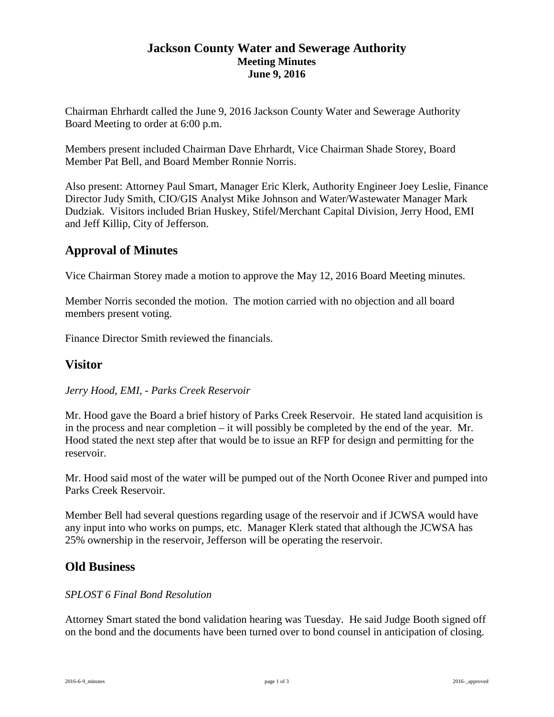#### **Jackson County Water and Sewerage Authority Meeting Minutes June 9, 2016**

Chairman Ehrhardt called the June 9, 2016 Jackson County Water and Sewerage Authority Board Meeting to order at 6:00 p.m.

Members present included Chairman Dave Ehrhardt, Vice Chairman Shade Storey, Board Member Pat Bell, and Board Member Ronnie Norris.

Also present: Attorney Paul Smart, Manager Eric Klerk, Authority Engineer Joey Leslie, Finance Director Judy Smith, CIO/GIS Analyst Mike Johnson and Water/Wastewater Manager Mark Dudziak. Visitors included Brian Huskey, Stifel/Merchant Capital Division, Jerry Hood, EMI and Jeff Killip, City of Jefferson.

# **Approval of Minutes**

Vice Chairman Storey made a motion to approve the May 12, 2016 Board Meeting minutes.

Member Norris seconded the motion. The motion carried with no objection and all board members present voting.

Finance Director Smith reviewed the financials.

## **Visitor**

#### *Jerry Hood, EMI, - Parks Creek Reservoir*

Mr. Hood gave the Board a brief history of Parks Creek Reservoir. He stated land acquisition is in the process and near completion – it will possibly be completed by the end of the year. Mr. Hood stated the next step after that would be to issue an RFP for design and permitting for the reservoir.

Mr. Hood said most of the water will be pumped out of the North Oconee River and pumped into Parks Creek Reservoir.

Member Bell had several questions regarding usage of the reservoir and if JCWSA would have any input into who works on pumps, etc. Manager Klerk stated that although the JCWSA has 25% ownership in the reservoir, Jefferson will be operating the reservoir.

## **Old Business**

#### *SPLOST 6 Final Bond Resolution*

Attorney Smart stated the bond validation hearing was Tuesday. He said Judge Booth signed off on the bond and the documents have been turned over to bond counsel in anticipation of closing.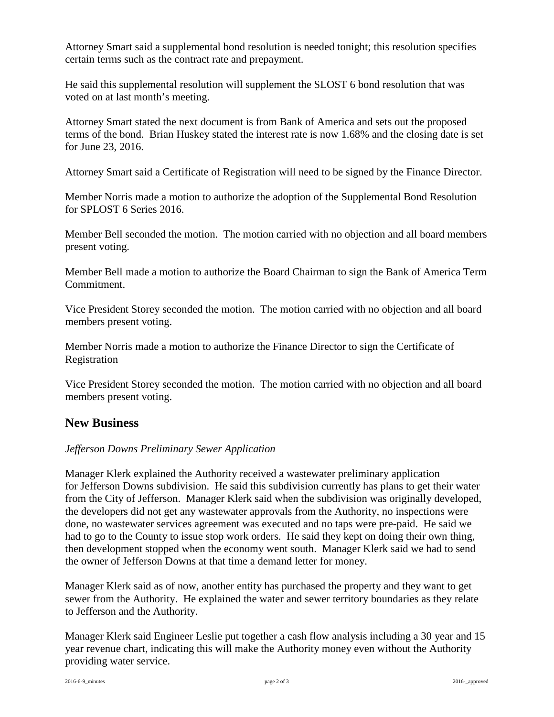Attorney Smart said a supplemental bond resolution is needed tonight; this resolution specifies certain terms such as the contract rate and prepayment.

He said this supplemental resolution will supplement the SLOST 6 bond resolution that was voted on at last month's meeting.

Attorney Smart stated the next document is from Bank of America and sets out the proposed terms of the bond. Brian Huskey stated the interest rate is now 1.68% and the closing date is set for June 23, 2016.

Attorney Smart said a Certificate of Registration will need to be signed by the Finance Director.

Member Norris made a motion to authorize the adoption of the Supplemental Bond Resolution for SPLOST 6 Series 2016.

Member Bell seconded the motion. The motion carried with no objection and all board members present voting.

Member Bell made a motion to authorize the Board Chairman to sign the Bank of America Term Commitment.

Vice President Storey seconded the motion. The motion carried with no objection and all board members present voting.

Member Norris made a motion to authorize the Finance Director to sign the Certificate of Registration

Vice President Storey seconded the motion. The motion carried with no objection and all board members present voting.

## **New Business**

#### *Jefferson Downs Preliminary Sewer Application*

Manager Klerk explained the Authority received a wastewater preliminary application for Jefferson Downs subdivision. He said this subdivision currently has plans to get their water from the City of Jefferson. Manager Klerk said when the subdivision was originally developed, the developers did not get any wastewater approvals from the Authority, no inspections were done, no wastewater services agreement was executed and no taps were pre-paid. He said we had to go to the County to issue stop work orders. He said they kept on doing their own thing, then development stopped when the economy went south. Manager Klerk said we had to send the owner of Jefferson Downs at that time a demand letter for money.

Manager Klerk said as of now, another entity has purchased the property and they want to get sewer from the Authority. He explained the water and sewer territory boundaries as they relate to Jefferson and the Authority.

Manager Klerk said Engineer Leslie put together a cash flow analysis including a 30 year and 15 year revenue chart, indicating this will make the Authority money even without the Authority providing water service.